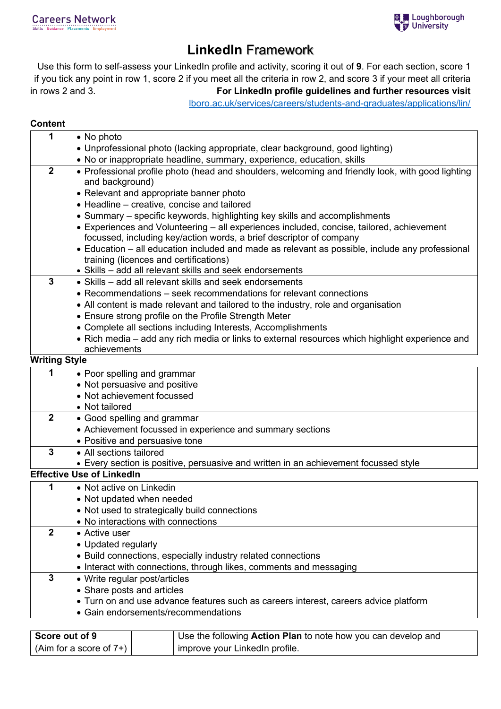## **LinkedIn** Framework

Use this form to self-assess your LinkedIn profile and activity, scoring it out of **9**. For each section, score 1 if you tick any point in row 1, score 2 if you meet all the criteria in row 2, and score 3 if your meet all criteria in rows 2 and 3. **For LinkedIn profile guidelines and further resources visit**

[lboro.ac.uk/services/careers/students-and-graduates/applications/lin/](https://www.lboro.ac.uk/services/careers/students-and-graduates/applications/lin/)

## **Content**

| 1              | • No photo                                                                                        |  |  |
|----------------|---------------------------------------------------------------------------------------------------|--|--|
|                | • Unprofessional photo (lacking appropriate, clear background, good lighting)                     |  |  |
|                | • No or inappropriate headline, summary, experience, education, skills                            |  |  |
| $\overline{2}$ | • Professional profile photo (head and shoulders, welcoming and friendly look, with good lighting |  |  |
|                | and background)                                                                                   |  |  |
|                | • Relevant and appropriate banner photo                                                           |  |  |
|                | • Headline - creative, concise and tailored                                                       |  |  |
|                | • Summary – specific keywords, highlighting key skills and accomplishments                        |  |  |
|                | • Experiences and Volunteering - all experiences included, concise, tailored, achievement         |  |  |
|                | focussed, including key/action words, a brief descriptor of company                               |  |  |
|                | • Education – all education included and made as relevant as possible, include any professional   |  |  |
|                | training (licences and certifications)                                                            |  |  |
|                | • Skills - add all relevant skills and seek endorsements                                          |  |  |
| 3              | • Skills – add all relevant skills and seek endorsements                                          |  |  |
|                | • Recommendations – seek recommendations for relevant connections                                 |  |  |
|                | • All content is made relevant and tailored to the industry, role and organisation                |  |  |
|                | • Ensure strong profile on the Profile Strength Meter                                             |  |  |
|                | • Complete all sections including Interests, Accomplishments                                      |  |  |
|                | • Rich media – add any rich media or links to external resources which highlight experience and   |  |  |
|                | achievements                                                                                      |  |  |
|                | <b>Writing Style</b>                                                                              |  |  |
| 1              | • Poor spelling and grammar                                                                       |  |  |
|                | • Not persuasive and positive                                                                     |  |  |
|                | • Not achievement focussed                                                                        |  |  |
|                | • Not tailored                                                                                    |  |  |
| $\overline{2}$ | • Good spelling and grammar                                                                       |  |  |
|                | • Achievement focussed in experience and summary sections                                         |  |  |
|                | • Positive and persuasive tone                                                                    |  |  |
| 3              | • All sections tailored                                                                           |  |  |
|                | • Every section is positive, persuasive and written in an achievement focussed style              |  |  |
|                | <b>Effective Use of LinkedIn</b>                                                                  |  |  |
| 1              | • Not active on Linkedin                                                                          |  |  |
|                | • Not updated when needed                                                                         |  |  |
|                | • Not used to strategically build connections                                                     |  |  |
|                | • No interactions with connections                                                                |  |  |
| $\mathbf{2}$   | • Active user                                                                                     |  |  |
|                | • Updated regularly                                                                               |  |  |
|                | • Build connections, especially industry related connections                                      |  |  |
|                | • Interact with connections, through likes, comments and messaging                                |  |  |
| $\mathbf{3}$   | • Write regular post/articles                                                                     |  |  |
|                | • Share posts and articles                                                                        |  |  |
|                | • Turn on and use advance features such as careers interest, careers advice platform              |  |  |
|                | • Gain endorsements/recommendations                                                               |  |  |
|                |                                                                                                   |  |  |

| Score out of 9                          | Use the following Action Plan to note how you can develop and |
|-----------------------------------------|---------------------------------------------------------------|
| $\vert$ (Aim for a score of 7+) $\vert$ | improve your LinkedIn profile.                                |